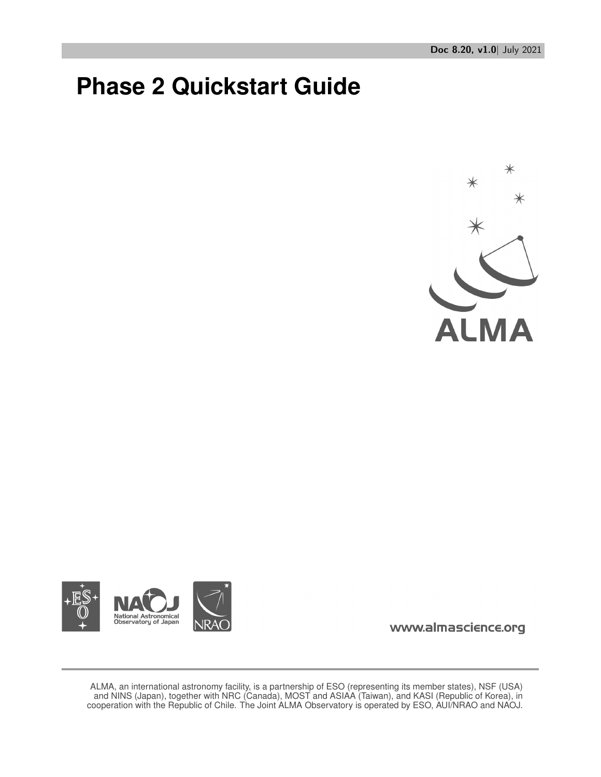# **Phase 2 Quickstart Guide**





www.almascience.org

ALMA, an international astronomy facility, is a partnership of ESO (representing its member states), NSF (USA) and NINS (Japan), together with NRC (Canada), MOST and ASIAA (Taiwan), and KASI (Republic of Korea), in cooperation with the Republic of Chile. The Joint ALMA Observatory is operated by ESO, AUI/NRAO and NAOJ.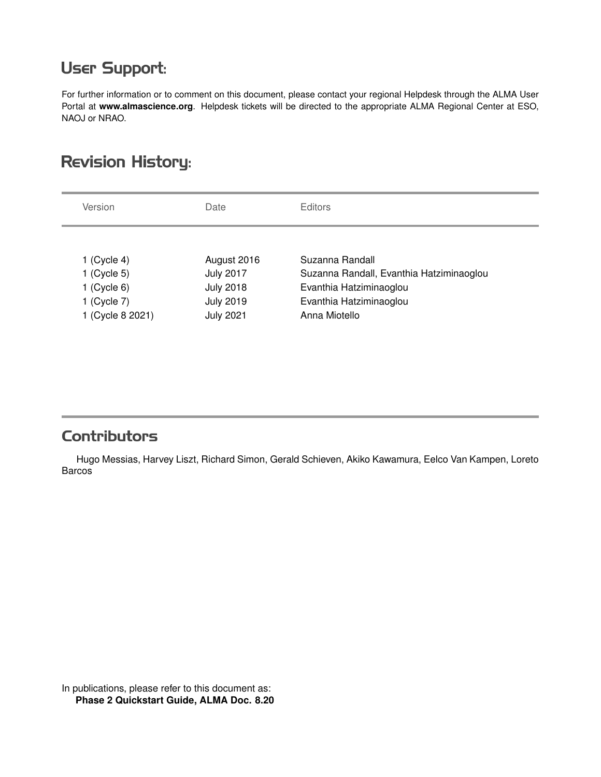## **User Support:**

For further information or to comment on this document, please contact your regional Helpdesk through the ALMA User Portal at **www.almascience.org**. Helpdesk tickets will be directed to the appropriate ALMA Regional Center at ESO, NAOJ or NRAO.

# **Revision History:**

| Version                      | Date                            | <b>Editors</b>                           |
|------------------------------|---------------------------------|------------------------------------------|
|                              |                                 | Suzanna Randall                          |
| 1 (Cycle 4)<br>$1$ (Cycle 5) | August 2016<br><b>July 2017</b> | Suzanna Randall, Evanthia Hatziminaoglou |
| 1 (Cycle $6$ )               | <b>July 2018</b>                | Evanthia Hatziminaoglou                  |
| 1 (Cycle $7$ )               | <b>July 2019</b>                | Evanthia Hatziminaoglou                  |
| 1 (Cycle 8 2021)             | <b>July 2021</b>                | Anna Miotello                            |

## **Contributors**

Hugo Messias, Harvey Liszt, Richard Simon, Gerald Schieven, Akiko Kawamura, Eelco Van Kampen, Loreto Barcos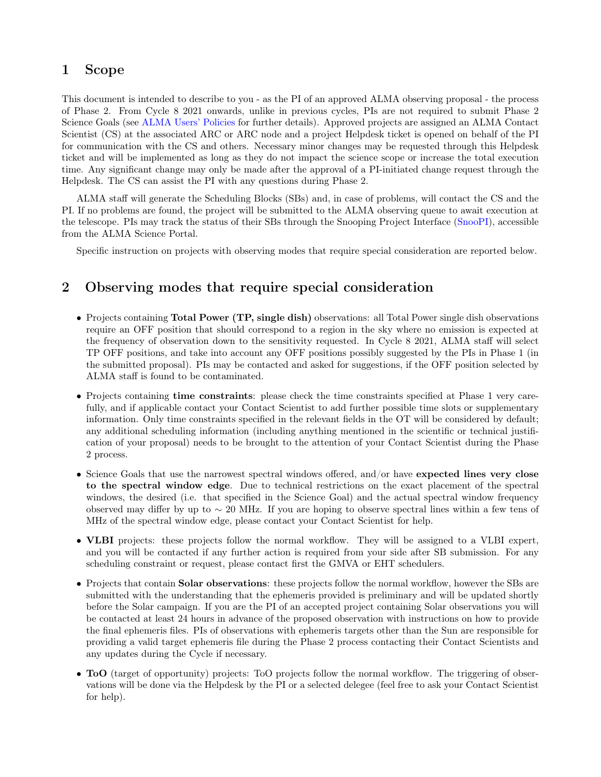### 1 Scope

This document is intended to describe to you - as the PI of an approved ALMA observing proposal - the process of Phase 2. From Cycle 8 2021 onwards, unlike in previous cycles, PIs are not required to submit Phase 2 Science Goals (see [ALMA Users' Policies](https://almascience.eso.org/documents-and-tools/latest/documents-and-tools/cycle8/alma-user-policies) for further details). Approved projects are assigned an ALMA Contact Scientist (CS) at the associated ARC or ARC node and a project Helpdesk ticket is opened on behalf of the PI for communication with the CS and others. Necessary minor changes may be requested through this Helpdesk ticket and will be implemented as long as they do not impact the science scope or increase the total execution time. Any significant change may only be made after the approval of a PI-initiated change request through the Helpdesk. The CS can assist the PI with any questions during Phase 2.

ALMA staff will generate the Scheduling Blocks (SBs) and, in case of problems, will contact the CS and the PI. If no problems are found, the project will be submitted to the ALMA observing queue to await execution at the telescope. PIs may track the status of their SBs through the Snooping Project Interface [\(SnooPI\)](https://almascience.eso.org/observing/snoopi), accessible from the ALMA Science Portal.

Specific instruction on projects with observing modes that require special consideration are reported below.

## 2 Observing modes that require special consideration

- Projects containing **Total Power (TP, single dish)** observations: all Total Power single dish observations require an OFF position that should correspond to a region in the sky where no emission is expected at the frequency of observation down to the sensitivity requested. In Cycle 8 2021, ALMA staff will select TP OFF positions, and take into account any OFF positions possibly suggested by the PIs in Phase 1 (in the submitted proposal). PIs may be contacted and asked for suggestions, if the OFF position selected by ALMA staff is found to be contaminated.
- Projects containing time constraints: please check the time constraints specified at Phase 1 very carefully, and if applicable contact your Contact Scientist to add further possible time slots or supplementary information. Only time constraints specified in the relevant fields in the OT will be considered by default; any additional scheduling information (including anything mentioned in the scientific or technical justification of your proposal) needs to be brought to the attention of your Contact Scientist during the Phase 2 process.
- Science Goals that use the narrowest spectral windows offered, and/or have expected lines very close to the spectral window edge. Due to technical restrictions on the exact placement of the spectral windows, the desired (i.e. that specified in the Science Goal) and the actual spectral window frequency observed may differ by up to ∼ 20 MHz. If you are hoping to observe spectral lines within a few tens of MHz of the spectral window edge, please contact your Contact Scientist for help.
- **VLBI** projects: these projects follow the normal workflow. They will be assigned to a VLBI expert, and you will be contacted if any further action is required from your side after SB submission. For any scheduling constraint or request, please contact first the GMVA or EHT schedulers.
- Projects that contain **Solar observations**: these projects follow the normal workflow, however the SBs are submitted with the understanding that the ephemeris provided is preliminary and will be updated shortly before the Solar campaign. If you are the PI of an accepted project containing Solar observations you will be contacted at least 24 hours in advance of the proposed observation with instructions on how to provide the final ephemeris files. PIs of observations with ephemeris targets other than the Sun are responsible for providing a valid target ephemeris file during the Phase 2 process contacting their Contact Scientists and any updates during the Cycle if necessary.
- ToO (target of opportunity) projects: ToO projects follow the normal workflow. The triggering of observations will be done via the Helpdesk by the PI or a selected delegee (feel free to ask your Contact Scientist for help).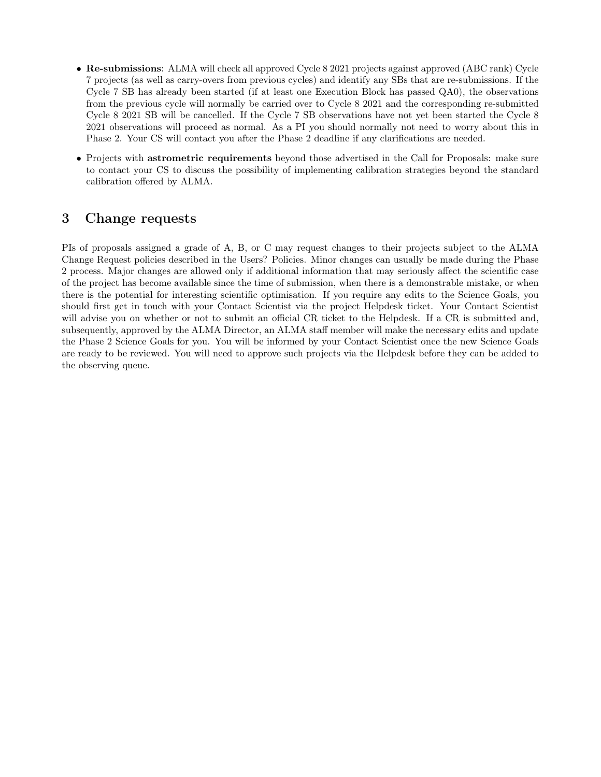- Re-submissions: ALMA will check all approved Cycle 8 2021 projects against approved (ABC rank) Cycle 7 projects (as well as carry-overs from previous cycles) and identify any SBs that are re-submissions. If the Cycle 7 SB has already been started (if at least one Execution Block has passed QA0), the observations from the previous cycle will normally be carried over to Cycle 8 2021 and the corresponding re-submitted Cycle 8 2021 SB will be cancelled. If the Cycle 7 SB observations have not yet been started the Cycle 8 2021 observations will proceed as normal. As a PI you should normally not need to worry about this in Phase 2. Your CS will contact you after the Phase 2 deadline if any clarifications are needed.
- Projects with **astrometric requirements** beyond those advertised in the Call for Proposals: make sure to contact your CS to discuss the possibility of implementing calibration strategies beyond the standard calibration offered by ALMA.

#### 3 Change requests

PIs of proposals assigned a grade of A, B, or C may request changes to their projects subject to the ALMA Change Request policies described in the Users? Policies. Minor changes can usually be made during the Phase 2 process. Major changes are allowed only if additional information that may seriously affect the scientific case of the project has become available since the time of submission, when there is a demonstrable mistake, or when there is the potential for interesting scientific optimisation. If you require any edits to the Science Goals, you should first get in touch with your Contact Scientist via the project Helpdesk ticket. Your Contact Scientist will advise you on whether or not to submit an official CR ticket to the Helpdesk. If a CR is submitted and, subsequently, approved by the ALMA Director, an ALMA staff member will make the necessary edits and update the Phase 2 Science Goals for you. You will be informed by your Contact Scientist once the new Science Goals are ready to be reviewed. You will need to approve such projects via the Helpdesk before they can be added to the observing queue.